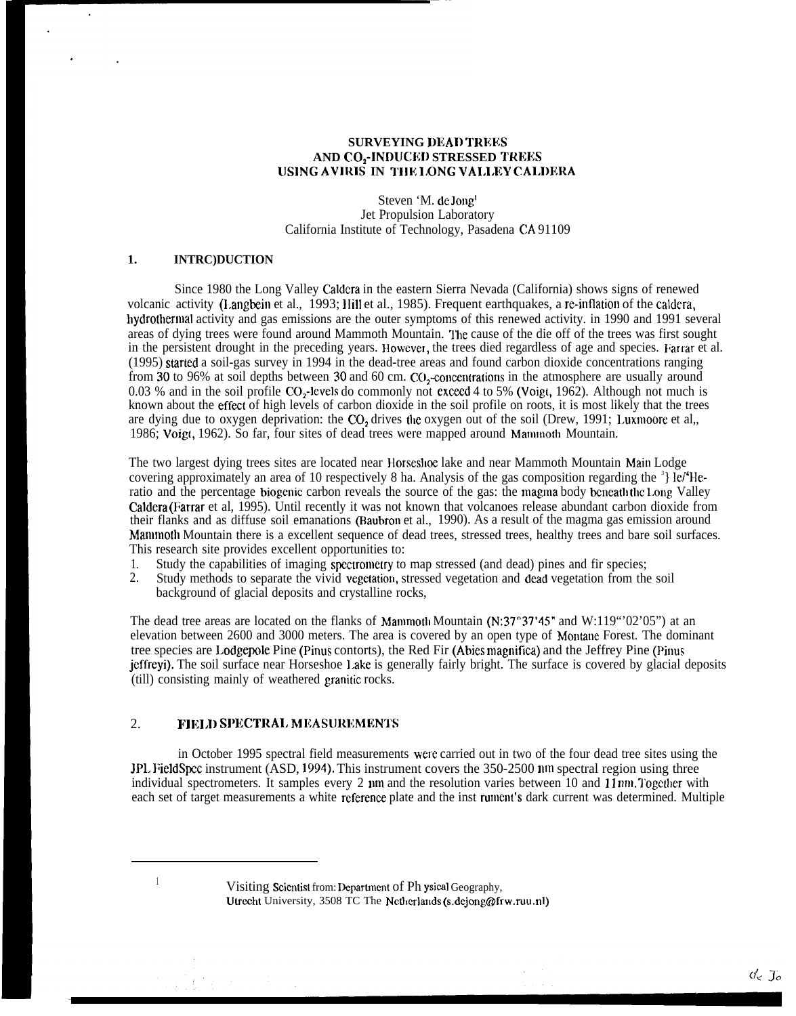### **SURVEYING DEAD TREKS AND CO<sub>2</sub>-INDUCED STRESSED TREES** LJSING **AVIRIS IN T1lE l/ONG VAI.I.EY CALDI?RA**

Steven 'M. de Jong' Jet Propulsion Laboratory California Institute of Technology, Pasadena CA 91109

## **1. INTRC)DUCTION**

Since 1980 the Long Valley Caldera in the eastern Sierra Nevada (California) shows signs of renewed volcanic activity (I,angbein et al., 1993; IIill et al., 1985). Frequent earthquakes, a re-inflation of the caldera, hydrothermal activity and gas emissions are the outer symptoms of this renewed activity. in 1990 and 1991 several areas of dying trees were found around Mammoth Mountain. '1'he cause of the die off of the trees was first sought in the persistent drought in the preceding years. However, the trees died regardless of age and species. Farrar et al. (1995) staled a soil-gas survey in 1994 in the dead-tree areas and found carbon dioxide concentrations ranging from 30 to 96% at soil depths between 30 and 60 cm. CO<sub>2</sub>-concentrations in the atmosphere are usually around 0.03 % and in the soil profile CO,-levels do commonly not exceed 4 to 5% (Voigt, 1962). Although not much is known about the effect of high levels of carbon dioxide in the soil profile on roots, it is most likely that the trees are dying due to oxygen deprivation: the CO<sub>2</sub> drives the oxygen out of the soil (Drew, 1991; Luxmoore et al,, 1986; Voigt, 1962). So far, four sites of dead trees were mapped around Mammoth Mountain.

The two largest dying trees sites are located near Horseslioe lake and near Mammoth Mountain Main Lodge covering approximately an area of 10 respectively 8 ha. Analysis of the gas composition regarding the  $3$  Ie/ $4$ He ratio and the percentage biogenic carbon reveals the source of the gas: the magma body beneath the Long Valley Caldera (Farrar et al, 1995). Until recently it was not known that volcanoes release abundant carbon dioxide from their flanks and as diffuse soil emanations (Baubron et al., 1990). As a result of the magma gas emission around Manmotb Mountain there is a excellent sequence of dead trees, stressed trees, healthy trees and bare soil surfaces. This research site provides excellent opportunities to:

- 1. Study the capabilities of imaging spectrometry to map stressed (and dead) pines and fir species;<br>2. Study methods to separate the vivid vegetation, stressed vegetation and dead vegetation from the
- Study methods to separate the vivid vegetation, stressed vegetation and dead vegetation from the soil background of glacial deposits and crystalline rocks,

The dead tree areas are located on the flanks of Mamnoth Mountain (N:37°37'45" and W:119"'02'05") at an elevation between 2600 and 3000 meters. The area is covered by an open type of Montane Forest. The dominant tree species are I.odgepole Pine (Pinus contorts), the Red Fir (Abies magnifica) and the Jeffrey Pine (Pinus jeffreyi). The soil surface near Horseshoe Lake is generally fairly bright. The surface is covered by glacial deposits (till) consisting mainly of weathered granitic rocks.

### 2. **17 IFIELD SPECTRAL MEASUREMENTS**

in October 1995 spectral field measurements were carried out in two of the four dead tree sites using the JPL FieldSpcc instrument (ASD, 1994). This instrument covers the 350-2500 m spectral region using three individual spectrometers. It samples every 2  $\mu$ m and the resolution varies between 10 and 11 nm. Together with each set of target measurements a white rcferenee plate and the inst rument's dark current was determined. Multiple

<sup>&</sup>lt;sup>1</sup> Visiting Scientist from: Department of Ph ysical Geography, Utrecht University, 3508 TC The Netherlands (s.dejong@frw.ruu.nl)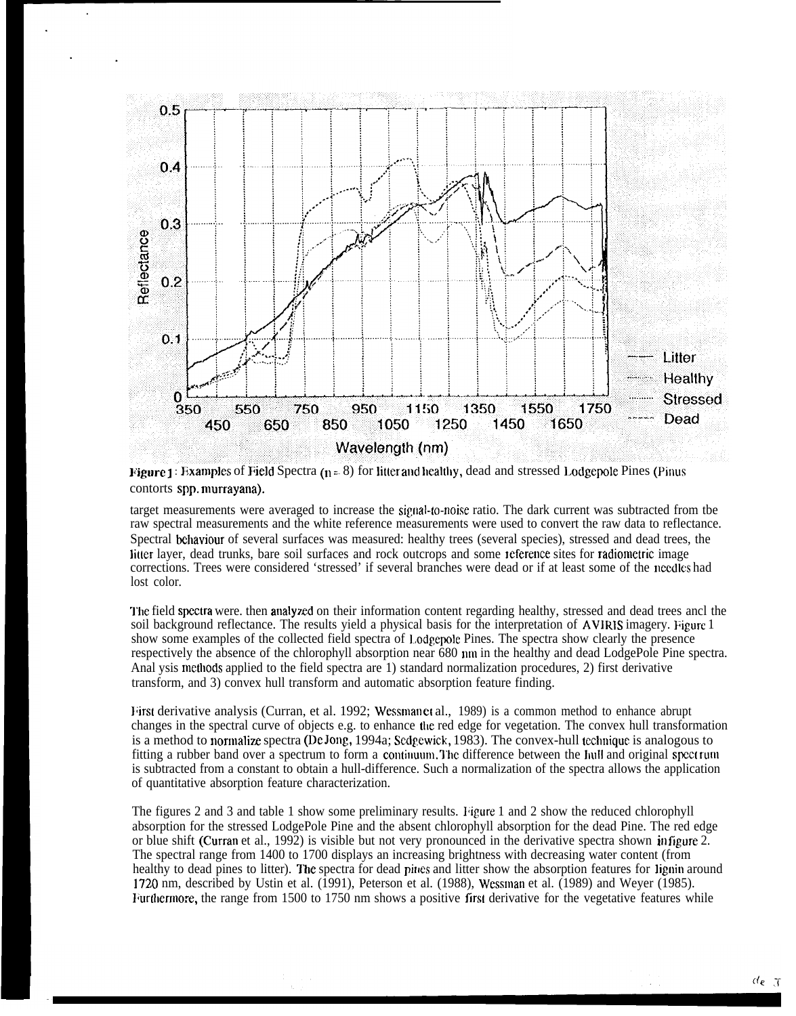

**Figure** 1: Examples of Field Spectra  $(n=8)$  for litter and healthy, dead and stressed Lodgepole Pines (Pinus contorts spp. murrayana).

target measurements were averaged to increase the signal-fo-noise ratio. The dark current was subtracted from tbe raw spectral measurements and the white reference measurements were used to convert the raw data to reflectance. Spectral behaviour of several surfaces was measured: healthy trees (several species), stressed and dead trees, the Iitler layer, dead trunks, bare soil surfaces and rock outcrops and some Ieference sites for radiometric image corrections. Trees were considered 'stressed' if several branches were dead or if at least some of the needles had lost color.

'J"he field speetra were. then analyzed on their information content regarding healthy, stressed and dead trees ancl the soil background reflectance. The results yield a physical basis for the interpretation of AVIRIS imagery. Figure 1 show some examples of the collected field spectra of Lodgepole Pines. The spectra show clearly the presence respectively the absence of the chlorophyll absorption near 680 mu in the healthy and dead LodgePole Pine spectra. Anal ysis methods applied to the field spectra are 1) standard normalization procedures, 2) first derivative transform, and 3) convex hull transform and automatic absorption feature finding.

Hirst derivative analysis (Curran, et al. 1992; Wessman et al., 1989) is a common method to enhance abrupt changes in the spectral curve of objects e.g. to enhance the red edge for vegetation. The convex hull transformation is a method to normalize spectra (De Jong, 1994a; Sedgewick, 1983). The convex-hull technique is analogous to fitting a rubber band over a spectrum to form a continuum. The difference between the hull and original spectrum is subtracted from a constant to obtain a hull-difference. Such a normalization of the spectra allows the application of quantitative absorption feature characterization.

The figures 2 and 3 and table 1 show some preliminary results. ligure 1 and 2 show the reduced chlorophyll absorption for the stressed LodgePole Pine and the absent chlorophyll absorption for the dead Pine. The red edge or blue shift (Curran et al., 1992) is visible but not very pronounced in the derivative spectra shown in figure 2. The spectral range from 1400 to 1700 displays an increasing brightness with decreasing water content (from healthy to dead pines to litter). The spectra for dead pines and litter show the absorption features for lignin around 1720 nm, described by Ustin et al. (1991), Peterson et al. (1988), Wessman et al. (1989) and Weyer (1985). Furthermore, the range from 1500 to 1750 nm shows a positive first derivative for the vegetative features while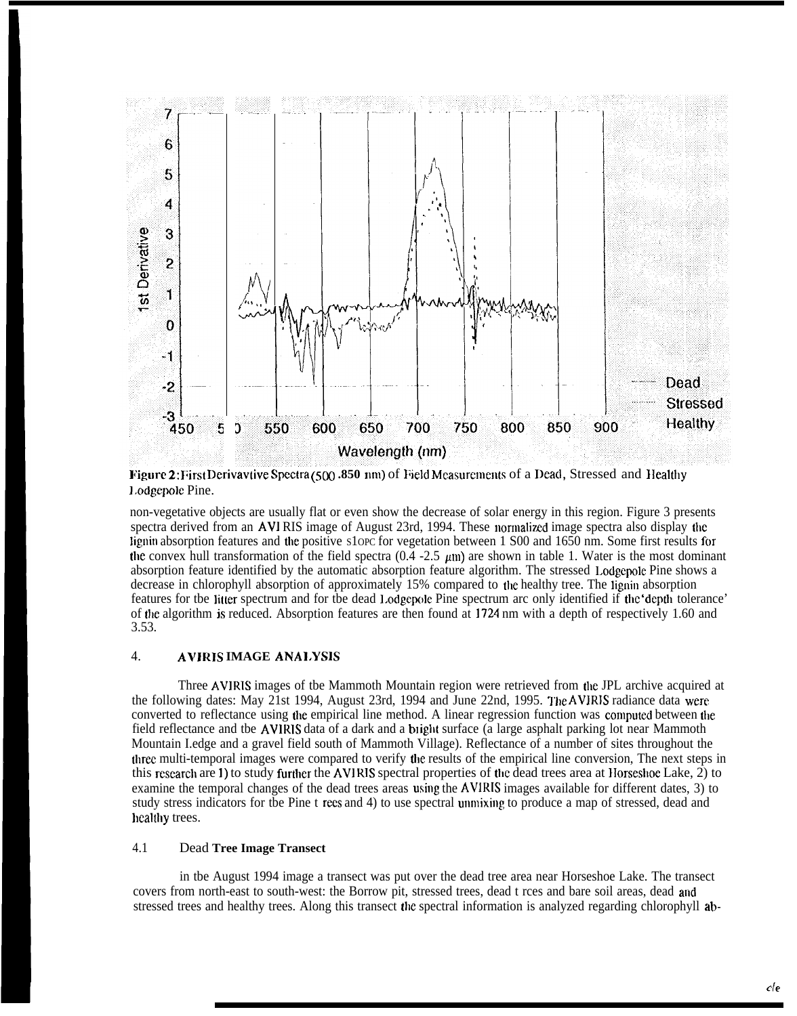

**Figure 2:** First Derivavtive Spectra (500 .850 nm) of Field Measurements of a Dead, Stressed and Healthy 1.odgepolc Pine.

non-vegetative objects are usually flat or even show the decrease of solar energy in this region. Figure 3 presents spectra derived from an AVIRIS image of August 23rd, 1994. These normalized image spectra also display the lignin absorption features and the positive s1opc for vegetation between 1 S00 and 1650 nm. Some first results for the convex hull transformation of the field spectra (0.4 -2.5  $\mu$ m) are shown in table 1. Water is the most dominant absorption feature identified by the automatic absorption feature algorithm. The stressed Lodgepole Pine shows a decrease in chlorophyll absorption of approximately 15% compared to the healthy tree. The lignin absorption features for tbe litter spectrum and for tbe dead l.odgepole Pine spectrum arc only identified if tbc 'dcptb tolerance' of tbe algorithm is reduced. Absorption features are then found at 1724 nm with a depth of respectively 1.60 and 3.53.

## 4. **AVJRIS IMAGE ANAI.YSB**

Three AVIRIS images of tbe Mammoth Mountain region were retrieved from the JPL archive acquired at the following dates: May 21st 1994, August 23rd, 1994 and June 22nd, 1995. Tbe AVIRIS radiance data were converted to reflectance using the empirical line method. A linear regression function was computed between the field reflectance and tbe AVIRIS data of a dark and a bight surface (a large asphalt parking lot near Mammoth Mountain I.edge and a gravel field south of Mammoth Village). Reflectance of a number of sites throughout the tbrec multi-temporal images were compared to verify tbe results of the empirical line conversion, The next steps in this research are 1) to study further the AVIRIS spectral properties of the dead trees area at Horseshoe Lake,  $\hat{2}$ ) to examine the temporal changes of the dead trees areas using the AVIRIS images available for different dates, 3) to study stress indicators for tbe Pine t recs and 4) to use spectral unmixing to produce a map of stressed, dead and healthy trees.

### 4.1 Dead **Tree Image Transect**

in tbe August 1994 image a transect was put over the dead tree area near Horseshoe Lake. The transect covers from north-east to south-west: the Borrow pit, stressed trees, dead t rces and bare soil areas, dead and stressed trees and healthy trees. Along this transect tbe spectral information is analyzed regarding chlorophyll ab-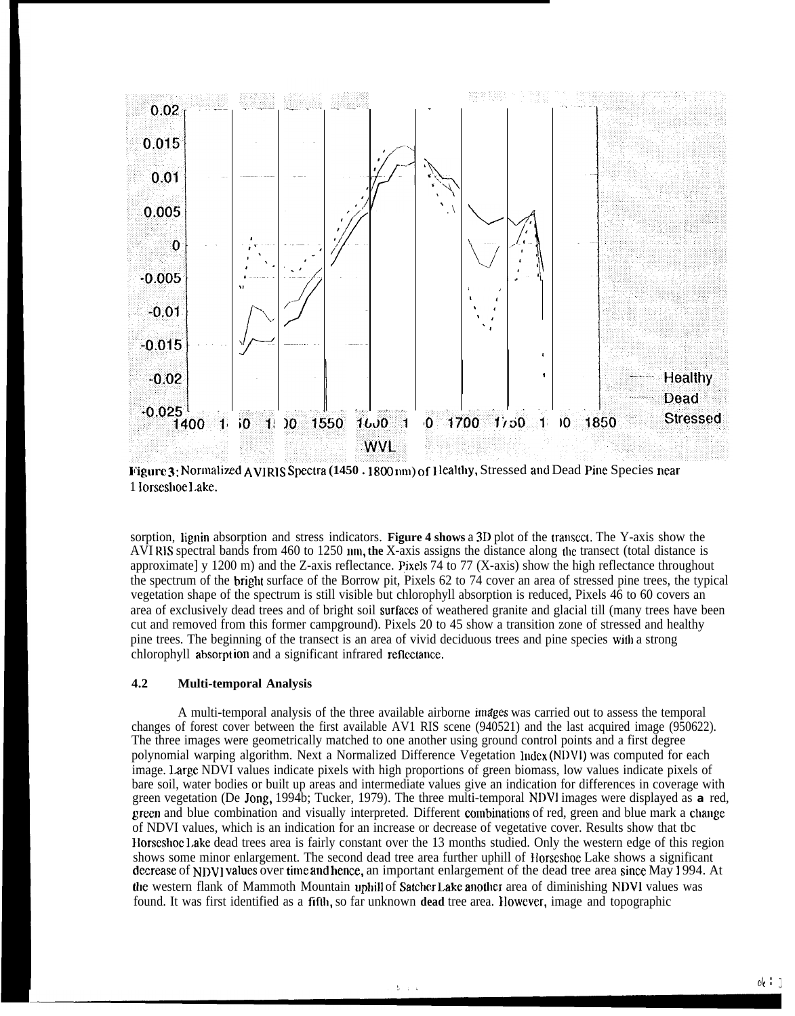

**Figure 3:** Normalized AVIRIS Spectra (1450 . 1800 nm) of Healthy, Stressed and Dead Pine Species near 1 lorsesboe 1,ake.

sorption, lignin absorption and stress indicators. **Figure 4 shows a 3D** plot of the transect. The Y-axis show the AVIRIS spectral bands from 460 to 1250 nm, the X-axis assigns the distance along the transect (total distance is approximate] y 1200 m) and the Z-axis reflectance. Pixels 74 to 77 (X-axis) show the high reflectance throughout the spectrum of the brigbt surface of the Borrow pit, Pixels 62 to 74 cover an area of stressed pine trees, the typical vegetation shape of the spectrum is still visible but chlorophyll absorption is reduced, Pixels 46 to 60 covers an area of exclusively dead trees and of bright soil surfaces of weathered granite and glacial till (many trees have been cut and removed from this former campground). Pixels 20 to 45 show a transition zone of stressed and healthy pine trees. The beginning of the transect is an area of vivid deciduous trees and pine species wjth a strong chlorophyll absorpt ion and a significant infrared reflectance.

### **4.2 Multi-temporal Analysis**

**<sup>I</sup>**

A multi-temporal analysis of the three available airborne inufges was carried out to assess the temporal changes of forest cover between the first available AV1 RIS scene (940521) and the last acquired image (950622). The three images were geometrically matched to one another using ground control points and a first degree polynomial warping algorithm. Next a Normalized Difference Vegetation Index (NDVI) was computed for each image. Large NDVI values indicate pixels with high proportions of green biomass, low values indicate pixels of bare soil, water bodies or built up areas and intermediate values give an indication for differences in coverage with green vegetation (De Jong, 1994b; Tucker, 1979). The three multi-temporal NDVI images were displayed as **a** red, green and blue combination and visually interpreted. Different combinations of red, green and blue mark a change of NDVI values, which is an indication for an increase or decrease of vegetative cover. Results show that tbc Horseshoe Lake dead trees area is fairly constant over the 13 months studied. Only the western edge of this region shows some minor enlargement. The second dead tree area further uphill of Horseshoe Lake shows a significant decrease of NDVI values over time and hence, an important enlargement of the dead tree area since May 1994. At the western flank of Mammoth Mountain uphill of Satcher Lake another area of diminishing NDVI values was found. It was first identified as a fifth, so far unknown **dead** tree area. However, image and topographic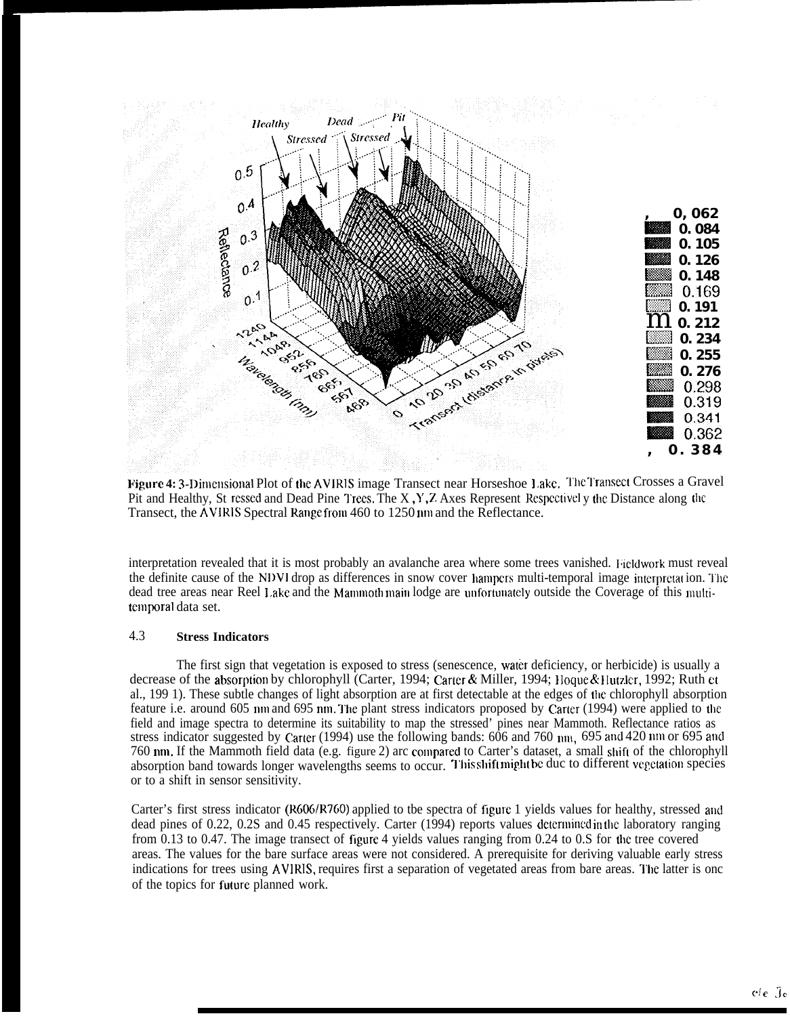

Figure 4: 3-Dimensional Plot of the AVIRIS image Transect near Horseshoe Lake. The Transect Crosses a Gravel Pit and Healthy, St ressed and Dead Pine Trees. The X, Y, Z Axes Represent Respectively the Distance along the Transect, the AVIRIS Spectral Range from 460 to 1250 nm and the Reflectance.

interpretation revealed that it is most probably an avalanche area where some trees vanished. Fieldwork must reveal the definite cause of the NDVI drop as differences in snow cover hampers multi-temporal image interpretation. The dead tree areas near Reel Lake and the Mammoth main lodge are unfortunately outside the Coverage of this multitemporal data set.

#### 4.3 **Stress Indicators**

The first sign that vegetation is exposed to stress (senescence, water deficiency, or herbicide) is usually a decrease of the absorption by chlorophyll (Carter, 1994; Carter & Miller, 1994; Hoque & Hutzler, 1992; Ruth et al., 1991). These subtle changes of light absorption are at first detectable at the edges of the chlorophyll absorption feature i.e. around 605 nm and 695 nm. The plant stress indicators proposed by Carter (1994) were applied to the field and image spectra to determine its suitability to map the stressed' pines near Mammoth. Reflectance ratios as stress indicator suggested by Carter (1994) use the following bands:  $606$  and  $760$  nm,  $695$  and  $420$  nm or  $695$  and 760 nm. If the Mammoth field data (e.g. figure 2) arc compared to Carter's dataset, a small shift of the chlorophyll absorption band towards longer wavelengths seems to occur. This shift might be duc to different vegetation species or to a shift in sensor sensitivity.

Carter's first stress indicator (R606/R760) applied to tbe spectra of figure 1 yields values for healthy, stressed and dead pines of 0.22, 0.2S and 0.45 respectively. Carter (1994) reports values determined in the laboratory ranging from 0.13 to 0.47. The image transect of figure 4 yields values ranging from 0.24 to 0.8 for the tree covered areas. The values for the bare surface areas were not considered. A prerequisite for deriving valuable early stress indications for trees using AVIRIS, requires first a separation of vegetated areas from bare areas. The latter is one of the topics for future planned work.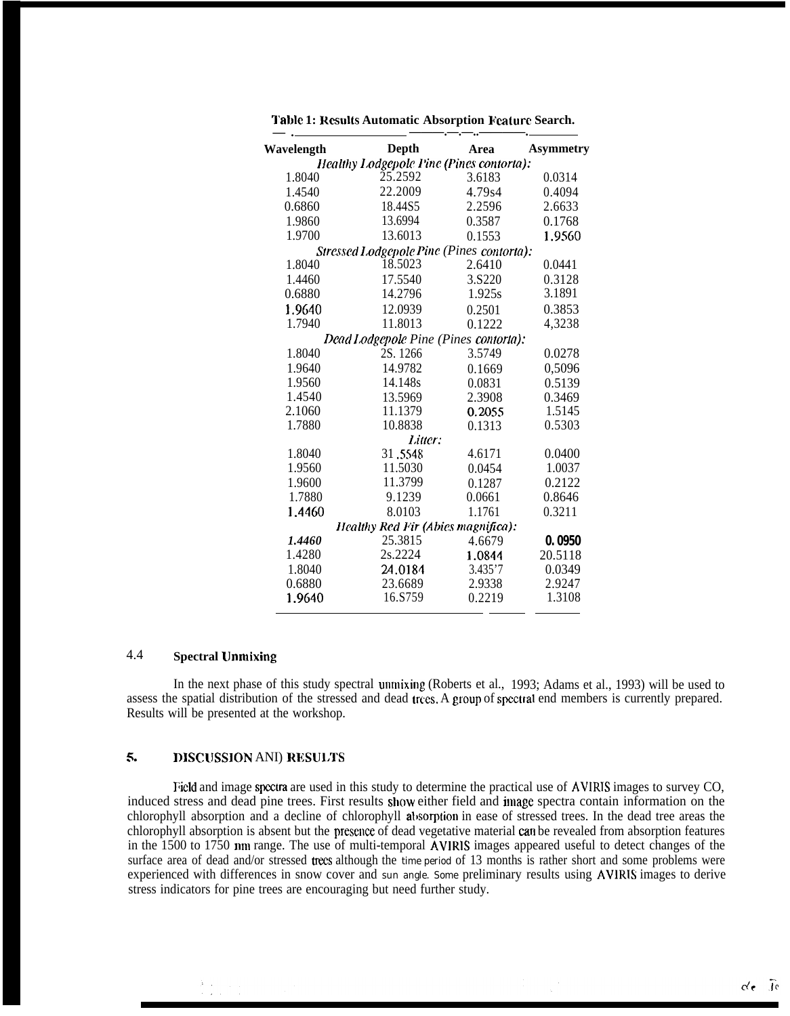| Wavelength       | <b>Depth</b>                                      | Area    | <b>Asymmetry</b> |
|------------------|---------------------------------------------------|---------|------------------|
|                  | Healthy Lodgepole Pine (Pines contorta):          |         |                  |
| 1.8040           | 25.2592                                           | 3.6183  | 0.0314           |
| 1.4540           | 22.2009                                           | 4.79s4  | 0.4094           |
| 0.6860           | 18.44S5                                           | 2.2596  | 2.6633           |
| 1.9860           | 13.6994                                           | 0.3587  | 0.1768           |
| 1.9700           | 13.6013                                           | 0.1553  | 1.9560           |
|                  | Stressed Lodgepole Pine (Pines contorta):         |         |                  |
| 1.8040           | 18.5023                                           | 2.6410  | 0.0441           |
| 1.4460           | 17.5540                                           | 3.S220  | 0.3128           |
| 0.6880           | 14.2796                                           | 1.925s  | 3.1891           |
| 1.9640           | 12.0939                                           | 0.2501  | 0.3853           |
| 1.7940           | 11.8013                                           | 0.1222  | 4,3238           |
|                  |                                                   |         |                  |
| 1.8040           | Dead Lodgepole Pine (Pines contorta):<br>2S. 1266 | 3.5749  |                  |
|                  | 14.9782                                           |         | 0.0278           |
| 1.9640           |                                                   | 0.1669  | 0.5096           |
| 1.9560<br>1.4540 | 14.148s                                           | 0.0831  | 0.5139           |
| 2.1060           | 13.5969<br>11.1379                                | 2.3908  | 0.3469<br>1.5145 |
| 1.7880           | 10.8838                                           | 0.2055  | 0.5303           |
|                  | Litter:                                           | 0.1313  |                  |
| 1.8040           | 31.5548                                           | 4.6171  | 0.0400           |
| 1.9560           | 11.5030                                           | 0.0454  | 1.0037           |
| 1.9600           | 11.3799                                           | 0.1287  | 0.2122           |
| 1.7880           | 9.1239                                            | 0.0661  | 0.8646           |
| 1.4460           | 8.0103                                            | 1.1761  | 0.3211           |
|                  | Healthy Red Fir (Abies magnifica):                |         |                  |
| 1.4460           | 25.3815                                           | 4.6679  | 0.0950           |
| 1.4280           | 2s.2224                                           | 1.0844  | 20.5118          |
| 1.8040           | 24.0184                                           | 3.435'7 | 0.0349           |
| 0.6880           | 23.6689                                           | 2.9338  | 2.9247           |
| 1.9640           | 16.S759                                           | 0.2219  | 1.3108           |
|                  |                                                   |         |                  |

## 4.4 **Spectral** LJnmixing

In the next phase of this study spectral unmixing (Roberts et al., 1993; Adams et al., 1993) will be used to assess the spatial distribution of the stressed and dead trees. A group of spectral end members is currently prepared. Results will be presented at the workshop.

# 5. DISCUSSION ANI) RESULTS

I~icld and image speetra are used in this study to determine the practical use of AVIRIS images to survey CO, induced stress and dead pine trees. First results show either field and image spectra contain information on the chlorophyll absorption and a decline of chlorophyll absorption in ease of stressed trees. In the dead tree areas the chlorophyll absorption is absent but the presence of dead vegetative material can be revealed from absorption features in the  $1500$  to  $1750$  nm range. The use of multi-temporal  $\overline{A}$ VIRIS images appeared useful to detect changes of the surface area of dead and/or stressed trees although the time period of 13 months is rather short and some problems were experienced with differences in snow cover and sun angle. Some preliminary results using AVIRIS images to derive stress indicators for pine trees are encouraging but need further study.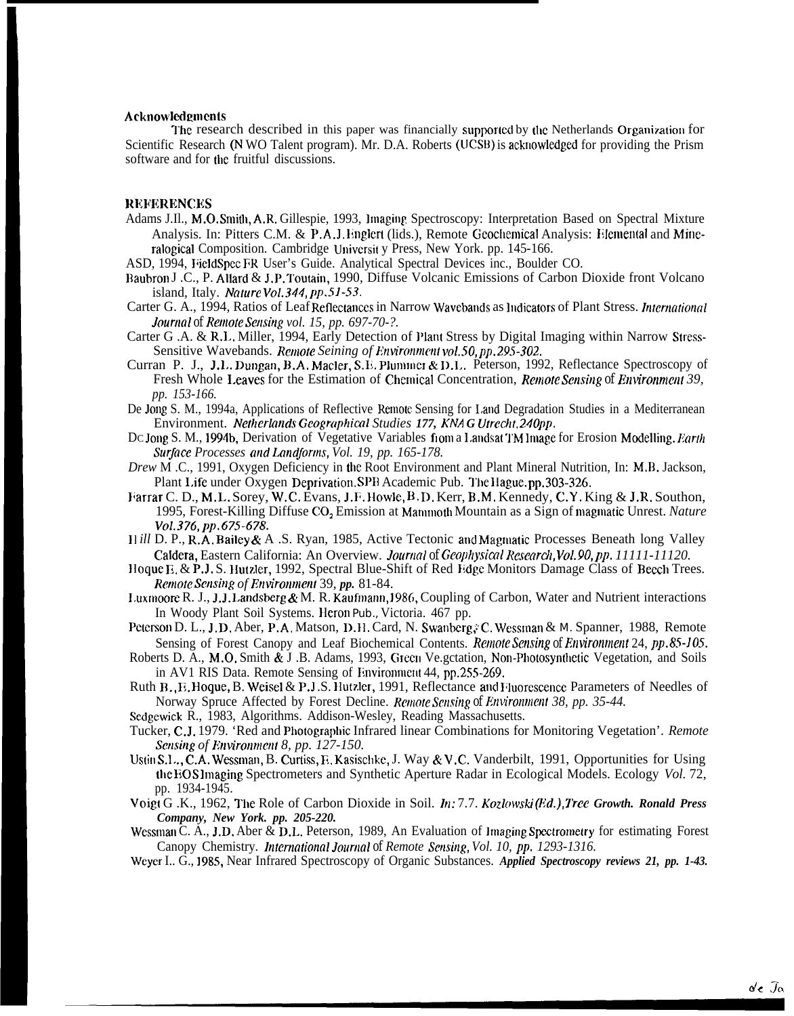### **Acknowledgments**

The research described in this paper was financially supported by the Netherlands Organization for Scientific Research (N WO Talent program). Mr. D.A. Roberts (UCSB) is acknowledged for providing the Prism software and for the fruitful discussions.

### **REFERENCES**

Adams J.Il., M.O. Smith, A.R. Gillespie, 1993, Imaging Spectroscopy: Interpretation Based on Spectral Mixture Analysis. In: Pitters C.M. & P.A.J. Englert (lids.), Remote Geochemical Analysis: Elemental and Mineralogical Composition. Cambridge University Press, New York. pp. 145-166.

ASD, 1994, FieldSpec FR User's Guide. Analytical Spectral Devices inc., Boulder CO.

- Baubron J.C., P. Allard & J.P. Toutain, 1990, Diffuse Volcanic Emissions of Carbon Dioxide front Volcano island, Italy. Nature Vol. 344, pp.51-53.
- Carter G. A., 1994, Ratios of Leaf Reflectances in Narrow Wavebands as Indicators of Plant Stress. International Journal of Remote Sensing vol. 15, pp. 697-70-?.
- Carter G.A. & R.L. Miller, 1994, Early Detection of Plant Stress by Digital Imaging within Narrow Stress-Sensitive Wavebands. Remote Seining of Environment vol. 50, pp. 295-302.
- Curran P. J., J.L. Dungan, B.A. Macler, S.E. Plummer & D.L. Peterson, 1992, Reflectance Spectroscopy of Fresh Whole Leaves for the Estimation of Chemical Concentration, Remote Sensing of Environment 39, pp. 153-166.
- De Jong S. M., 1994a, Applications of Reflective Remote Sensing for Land Degradation Studies in a Mediterranean Environment. Netherlands Geographical Studies 177, KNAG Utrecht, 240pp.
- Dc Jong S. M., 1994b, Derivation of Vegetative Variables fiom a Landsat TM Image for Erosion Modelling. Earth Surface Processes and Landforms, Vol. 19, pp. 165-178.
- Drew M.C., 1991, Oxygen Deficiency in the Root Environment and Plant Mineral Nutrition, In: M.B. Jackson, Plant Life under Oxygen Deprivation. SPB Academic Pub. The Hague. pp. 303-326.
- Farrar C. D., M.L. Sorey, W.C. Evans, J.F. Howle, B.D. Kerr, B.M. Kennedy, C.Y. King & J.R. Southon, 1995, Forest-Killing Diffuse CO<sub>2</sub> Emission at Mammoth Mountain as a Sign of magmatic Unrest. Nature Vol.376, pp.675-678.
- Hill D. P., R.A. Bailey & A.S. Ryan, 1985, Active Tectonic and Magmatic Processes Beneath long Valley Caldera, Eastern California: An Overview. Journal of Geophysical Research, Vol. 90, pp. 11111-11120.
- Hoque E. & P.J. S. Hutzler, 1992, Spectral Blue-Shift of Red Edge Monitors Damage Class of Beech Trees. Remote Sensing of Environment 39, pp. 81-84.
- Luxmoore R. J., J.J. Landsberg & M. R. Kaufmann, 1986, Coupling of Carbon, Water and Nutrient interactions In Woody Plant Soil Systems. Heron Pub., Victoria. 467 pp.
- Peterson D. L., J.D. Aber, P.A. Matson, D.H. Card, N. Swanberg, C. Wessman & M. Spanner, 1988, Remote Sensing of Forest Canopy and Leaf Biochemical Contents. Remote Sensing of Environment 24, pp.85-105.
- Roberts D. A., M.O. Smith & J.B. Adams, 1993, Green Ve.gctation, Non-Photosynthetic Vegetation, and Soils in AV1 RIS Data. Remote Sensing of Environment 44, pp.255-269.
- Ruth B., E. Hoque, B. Weisel & P.J.S. Hutzler, 1991, Reflectance and Huorescence Parameters of Needles of Norway Spruce Affected by Forest Decline. Remote Sensing of Environment 38, pp. 35-44.
- Sedgewick R., 1983, Algorithms. Addison-Wesley, Reading Massachusetts.
- Tucker, C.J. 1979. 'Red and Photographic Infrared linear Combinations for Monitoring Vegetation'. Remote Sensing of Environment 8, pp. 127-150.
- Ustin S.L., C.A. Wessman, B. Curtiss, E. Kasischke, J. Way & V.C. Vanderbilt, 1991, Opportunities for Using the BOS Imaging Spectrometers and Synthetic Aperture Radar in Ecological Models. Ecology Vol. 72, pp. 1934-1945.
- Voigt G.K., 1962, The Role of Carbon Dioxide in Soil. In: 7.7. Kozlowski (Ed.), Tree Growth. Ronald Press Company, New York. pp. 205-220.
- Wessman C. A., J.D. Aber & D.L. Peterson, 1989, An Evaluation of Imaging Spectrometry for estimating Forest Canopy Chemistry. International Journal of Remote Sensing, Vol. 10, pp. 1293-1316.

Weyer I., G., 1985, Near Infrared Spectroscopy of Organic Substances. Applied Spectroscopy reviews 21, pp. 1-43.